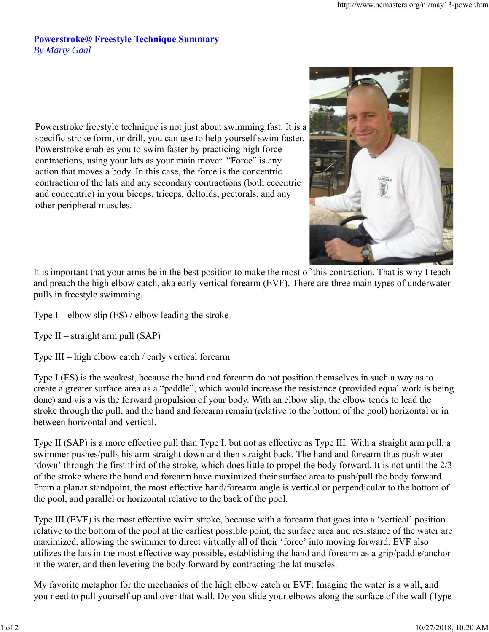## **Powerstroke® Freestyle Technique Summary** *By Marty Gaal*

Powerstroke freestyle technique is not just about swimming fast. It is a specific stroke form, or drill, you can use to help yourself swim faster. Powerstroke enables you to swim faster by practicing high force contractions, using your lats as your main mover. "Force" is any action that moves a body. In this case, the force is the concentric contraction of the lats and any secondary contractions (both eccentric and concentric) in your biceps, triceps, deltoids, pectorals, and any other peripheral muscles.



It is important that your arms be in the best position to make the most of this contraction. That is why I teach and preach the high elbow catch, aka early vertical forearm (EVF). There are three main types of underwater pulls in freestyle swimming.

Type I – elbow slip  $(ES)$  / elbow leading the stroke

Type II – straight arm pull (SAP)

Type III – high elbow catch / early vertical forearm

Type I (ES) is the weakest, because the hand and forearm do not position themselves in such a way as to create a greater surface area as a "paddle", which would increase the resistance (provided equal work is being done) and vis a vis the forward propulsion of your body. With an elbow slip, the elbow tends to lead the stroke through the pull, and the hand and forearm remain (relative to the bottom of the pool) horizontal or in between horizontal and vertical.

Type II (SAP) is a more effective pull than Type I, but not as effective as Type III. With a straight arm pull, a swimmer pushes/pulls his arm straight down and then straight back. The hand and forearm thus push water 'down' through the first third of the stroke, which does little to propel the body forward. It is not until the 2/3 of the stroke where the hand and forearm have maximized their surface area to push/pull the body forward. From a planar standpoint, the most effective hand/forearm angle is vertical or perpendicular to the bottom of the pool, and parallel or horizontal relative to the back of the pool.

Type III (EVF) is the most effective swim stroke, because with a forearm that goes into a 'vertical' position relative to the bottom of the pool at the earliest possible point, the surface area and resistance of the water are maximized, allowing the swimmer to direct virtually all of their 'force' into moving forward. EVF also utilizes the lats in the most effective way possible, establishing the hand and forearm as a grip/paddle/anchor in the water, and then levering the body forward by contracting the lat muscles.

My favorite metaphor for the mechanics of the high elbow catch or EVF: Imagine the water is a wall, and you need to pull yourself up and over that wall. Do you slide your elbows along the surface of the wall (Type